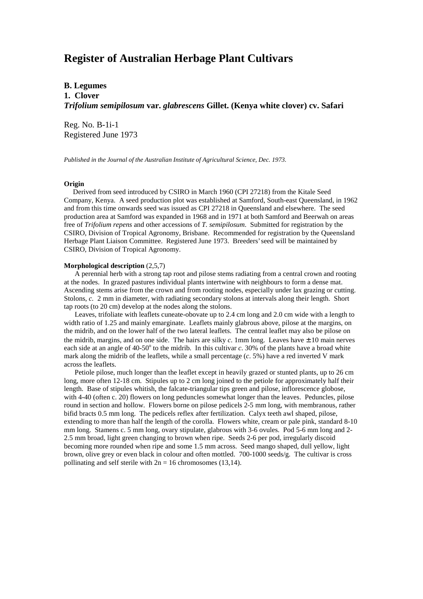# **Register of Australian Herbage Plant Cultivars**

**B. Legumes 1. Clover** *Trifolium semipilosum* **var.** *glabrescens* **Gillet. (Kenya white clover) cv. Safari**

Reg. No. B-1i-1 Registered June 1973

*Published in the Journal of the Australian Institute of Agricultural Science, Dec. 1973.*

## **Origin**

 Derived from seed introduced by CSIRO in March 1960 (CPI 27218) from the Kitale Seed Company, Kenya. A seed production plot was established at Samford, South-east Queensland, in 1962 and from this time onwards seed was issued as CPI 27218 in Queensland and elsewhere. The seed production area at Samford was expanded in 1968 and in 1971 at both Samford and Beerwah on areas free of *Trifolium repens* and other accessions of *T. semipilosum*. Submitted for registration by the CSIRO, Division of Tropical Agronomy, Brisbane. Recommended for registration by the Queensland Herbage Plant Liaison Committee. Registered June 1973. Breeders' seed will be maintained by CSIRO, Division of Tropical Agronomy.

#### **Morphological description** (2,5,7)

 A perennial herb with a strong tap root and pilose stems radiating from a central crown and rooting at the nodes. In grazed pastures individual plants intertwine with neighbours to form a dense mat. Ascending stems arise from the crown and from rooting nodes, especially under lax grazing or cutting. Stolons, *c.* 2 mm in diameter, with radiating secondary stolons at intervals along their length. Short tap roots (to 20 cm) develop at the nodes along the stolons.

 Leaves, trifoliate with leaflets cuneate-obovate up to 2.4 cm long and 2.0 cm wide with a length to width ratio of 1.25 and mainly emarginate. Leaflets mainly glabrous above, pilose at the margins, on the midrib, and on the lower half of the two lateral leaflets. The central leaflet may also be pilose on the midrib, margins, and on one side. The hairs are silky  $c$ . 1mm long. Leaves have  $\pm 10$  main nerves each side at an angle of  $40-50^\circ$  to the midrib. In this cultivar *c*. 30% of the plants have a broad white mark along the midrib of the leaflets, while a small percentage (*c*. 5%) have a red inverted V mark across the leaflets.

 Petiole pilose, much longer than the leaflet except in heavily grazed or stunted plants, up to 26 cm long, more often 12-18 cm. Stipules up to 2 cm long joined to the petiole for approximately half their length. Base of stipules whitish, the falcate-triangular tips green and pilose, inflorescence globose, with 4-40 (often c. 20) flowers on long peduncles somewhat longer than the leaves. Peduncles, pilose round in section and hollow. Flowers borne on pilose pedicels 2-5 mm long, with membranous, rather bifid bracts 0.5 mm long. The pedicels reflex after fertilization. Calyx teeth awl shaped, pilose, extending to more than half the length of the corolla. Flowers white, cream or pale pink, standard 8-10 mm long. Stamens c. 5 mm long, ovary stipulate, glabrous with 3-6 ovules. Pod 5-6 mm long and 2- 2.5 mm broad, light green changing to brown when ripe. Seeds 2-6 per pod, irregularly discoid becoming more rounded when ripe and some 1.5 mm across. Seed mango shaped, dull yellow, light brown, olive grey or even black in colour and often mottled. 700-1000 seeds/g. The cultivar is cross pollinating and self sterile with  $2n = 16$  chromosomes (13,14).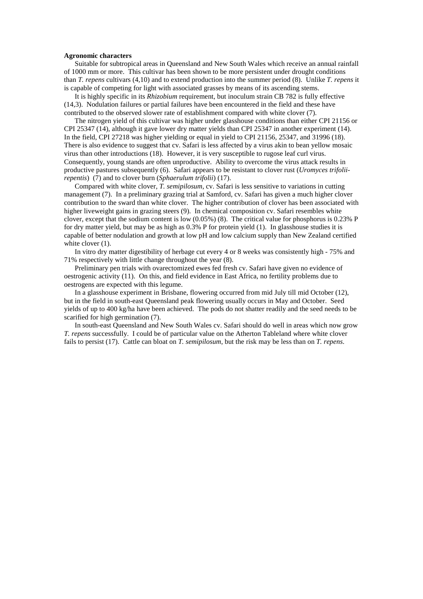### **Agronomic characters**

 Suitable for subtropical areas in Queensland and New South Wales which receive an annual rainfall of 1000 mm or more. This cultivar has been shown to be more persistent under drought conditions than *T. repens* cultivars (4,10) and to extend production into the summer period (8). Unlike *T. repens* it is capable of competing for light with associated grasses by means of its ascending stems.

 It is highly specific in its *Rhizobium* requirement, but inoculum strain CB 782 is fully effective (14,3). Nodulation failures or partial failures have been encountered in the field and these have contributed to the observed slower rate of establishment compared with white clover (7).

 The nitrogen yield of this cultivar was higher under glasshouse conditions than either CPI 21156 or CPI 25347 (14), although it gave lower dry matter yields than CPI 25347 in another experiment (14). In the field, CPI 27218 was higher yielding or equal in yield to CPI 21156, 25347, and 31996 (18). There is also evidence to suggest that cv. Safari is less affected by a virus akin to bean yellow mosaic virus than other introductions (18). However, it is very susceptible to rugose leaf curl virus. Consequently, young stands are often unproductive. Ability to overcome the virus attack results in productive pastures subsequently (6). Safari appears to be resistant to clover rust (*Uromyces trifoliirepentis*) (7) and to clover burn (*Sphaerulum trifolii*) (17).

 Compared with white clover, *T. semipilosum*, cv. Safari is less sensitive to variations in cutting management (7). In a preliminary grazing trial at Samford, cv. Safari has given a much higher clover contribution to the sward than white clover. The higher contribution of clover has been associated with higher liveweight gains in grazing steers (9). In chemical composition cv. Safari resembles white clover, except that the sodium content is low (0.05%) (8). The critical value for phosphorus is 0.23% P for dry matter yield, but may be as high as 0.3% P for protein yield (1). In glasshouse studies it is capable of better nodulation and growth at low pH and low calcium supply than New Zealand certified white clover  $(1)$ .

 In vitro dry matter digestibility of herbage cut every 4 or 8 weeks was consistently high - 75% and 71% respectively with little change throughout the year (8).

 Preliminary pen trials with ovarectomized ewes fed fresh cv. Safari have given no evidence of oestrogenic activity (11). On this, and field evidence in East Africa, no fertility problems due to oestrogens are expected with this legume.

 In a glasshouse experiment in Brisbane, flowering occurred from mid July till mid October (12), but in the field in south-east Queensland peak flowering usually occurs in May and October. Seed yields of up to 400 kg/ha have been achieved. The pods do not shatter readily and the seed needs to be scarified for high germination (7).

 In south-east Queensland and New South Wales cv. Safari should do well in areas which now grow *T. repens* successfully. I could be of particular value on the Atherton Tableland where white clover fails to persist (17). Cattle can bloat on *T. semipilosum*, but the risk may be less than on *T. repens*.